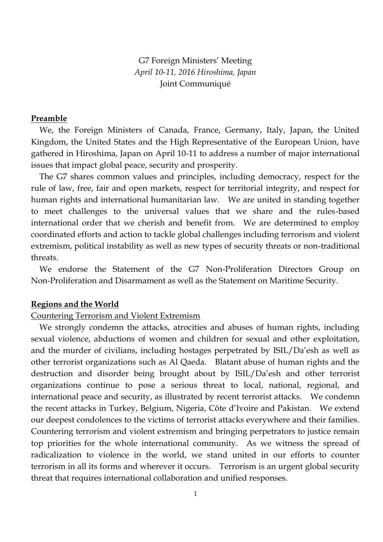G7 Foreign Ministers' Meeting *April 10-11, 2016 Hiroshima, Japan* Joint Communiqué

# **Preamble**

 We, the Foreign Ministers of Canada, France, Germany, Italy, Japan, the United Kingdom, the United States and the High Representative of the European Union, have gathered in Hiroshima, Japan on April 10-11 to address a number of major international issues that impact global peace, security and prosperity.

 The G7 shares common values and principles, including democracy, respect for the rule of law, free, fair and open markets, respect for territorial integrity, and respect for human rights and international humanitarian law. We are united in standing together to meet challenges to the universal values that we share and the rules-based international order that we cherish and benefit from. We are determined to employ coordinated efforts and action to tackle global challenges including terrorism and violent extremism, political instability as well as new types of security threats or non-traditional threats.

 We endorse the Statement of the G7 Non-Proliferation Directors Group on Non-Proliferation and Disarmament as well as the Statement on Maritime Security.

#### **Regions and the World**

# Countering Terrorism and Violent Extremism

 We strongly condemn the attacks, atrocities and abuses of human rights, including sexual violence, abductions of women and children for sexual and other exploitation, and the murder of civilians, including hostages perpetrated by ISIL/Da'esh as well as other terrorist organizations such as Al Qaeda. Blatant abuse of human rights and the destruction and disorder being brought about by ISIL/Da'esh and other terrorist organizations continue to pose a serious threat to local, national, regional, and international peace and security, as illustrated by recent terrorist attacks. We condemn the recent attacks in Turkey, Belgium, Nigeria, Côte d'Ivoire and Pakistan. We extend our deepest condolences to the victims of terrorist attacks everywhere and their families. Countering terrorism and violent extremism and bringing perpetrators to justice remain top priorities for the whole international community. As we witness the spread of radicalization to violence in the world, we stand united in our efforts to counter terrorism in all its forms and wherever it occurs. Terrorism is an urgent global security threat that requires international collaboration and unified responses.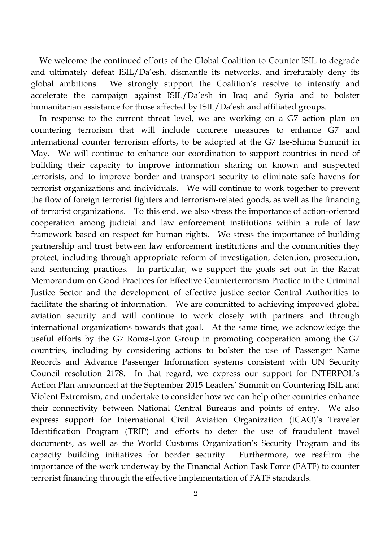We welcome the continued efforts of the Global Coalition to Counter ISIL to degrade and ultimately defeat ISIL/Da'esh, dismantle its networks, and irrefutably deny its global ambitions. We strongly support the Coalition's resolve to intensify and accelerate the campaign against ISIL/Da'esh in Iraq and Syria and to bolster humanitarian assistance for those affected by ISIL/Da'esh and affiliated groups.

 In response to the current threat level, we are working on a G7 action plan on countering terrorism that will include concrete measures to enhance G7 and international counter terrorism efforts, to be adopted at the G7 Ise-Shima Summit in May. We will continue to enhance our coordination to support countries in need of building their capacity to improve information sharing on known and suspected terrorists, and to improve border and transport security to eliminate safe havens for terrorist organizations and individuals. We will continue to work together to prevent the flow of foreign terrorist fighters and terrorism-related goods, as well as the financing of terrorist organizations. To this end, we also stress the importance of action-oriented cooperation among judicial and law enforcement institutions within a rule of law framework based on respect for human rights. We stress the importance of building partnership and trust between law enforcement institutions and the communities they protect, including through appropriate reform of investigation, detention, prosecution, and sentencing practices. In particular, we support the goals set out in the Rabat Memorandum on Good Practices for Effective Counterterrorism Practice in the Criminal Justice Sector and the development of effective justice sector Central Authorities to facilitate the sharing of information. We are committed to achieving improved global aviation security and will continue to work closely with partners and through international organizations towards that goal. At the same time, we acknowledge the useful efforts by the G7 Roma-Lyon Group in promoting cooperation among the G7 countries, including by considering actions to bolster the use of Passenger Name Records and Advance Passenger Information systems consistent with UN Security Council resolution 2178. In that regard, we express our support for INTERPOL's Action Plan announced at the September 2015 Leaders' Summit on Countering ISIL and Violent Extremism, and undertake to consider how we can help other countries enhance their connectivity between National Central Bureaus and points of entry. We also express support for International Civil Aviation Organization (ICAO)'s Traveler Identification Program (TRIP) and efforts to deter the use of fraudulent travel documents, as well as the World Customs Organization's Security Program and its capacity building initiatives for border security. Furthermore, we reaffirm the importance of the work underway by the Financial Action Task Force (FATF) to counter terrorist financing through the effective implementation of FATF standards.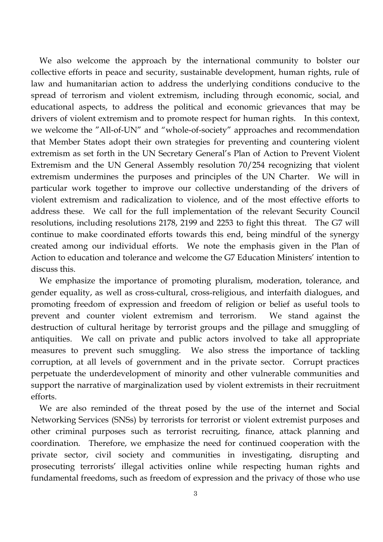We also welcome the approach by the international community to bolster our collective efforts in peace and security, sustainable development, human rights, rule of law and humanitarian action to address the underlying conditions conducive to the spread of terrorism and violent extremism, including through economic, social, and educational aspects, to address the political and economic grievances that may be drivers of violent extremism and to promote respect for human rights. In this context, we welcome the "All-of-UN" and "whole-of-society" approaches and recommendation that Member States adopt their own strategies for preventing and countering violent extremism as set forth in the UN Secretary General's Plan of Action to Prevent Violent Extremism and the UN General Assembly resolution 70/254 recognizing that violent extremism undermines the purposes and principles of the UN Charter. We will in particular work together to improve our collective understanding of the drivers of violent extremism and radicalization to violence, and of the most effective efforts to address these. We call for the full implementation of the relevant Security Council resolutions, including resolutions 2178, 2199 and 2253 to fight this threat. The G7 will continue to make coordinated efforts towards this end, being mindful of the synergy created among our individual efforts. We note the emphasis given in the Plan of Action to education and tolerance and welcome the G7 Education Ministers' intention to discuss this.

 We emphasize the importance of promoting pluralism, moderation, tolerance, and gender equality, as well as cross-cultural, cross-religious, and interfaith dialogues, and promoting freedom of expression and freedom of religion or belief as useful tools to prevent and counter violent extremism and terrorism. We stand against the destruction of cultural heritage by terrorist groups and the pillage and smuggling of antiquities. We call on private and public actors involved to take all appropriate measures to prevent such smuggling. We also stress the importance of tackling corruption, at all levels of government and in the private sector. Corrupt practices perpetuate the underdevelopment of minority and other vulnerable communities and support the narrative of marginalization used by violent extremists in their recruitment efforts.

 We are also reminded of the threat posed by the use of the internet and Social Networking Services (SNSs) by terrorists for terrorist or violent extremist purposes and other criminal purposes such as terrorist recruiting, finance, attack planning and coordination. Therefore, we emphasize the need for continued cooperation with the private sector, civil society and communities in investigating, disrupting and prosecuting terrorists' illegal activities online while respecting human rights and fundamental freedoms, such as freedom of expression and the privacy of those who use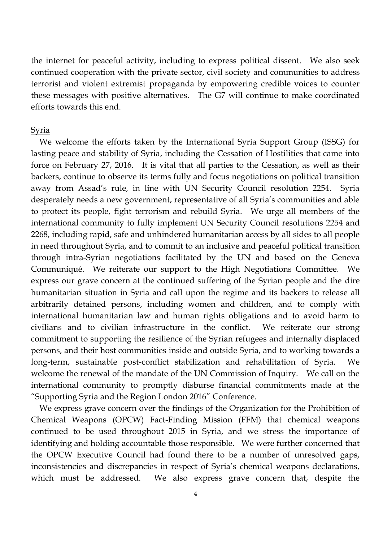the internet for peaceful activity, including to express political dissent. We also seek continued cooperation with the private sector, civil society and communities to address terrorist and violent extremist propaganda by empowering credible voices to counter these messages with positive alternatives. The G7 will continue to make coordinated efforts towards this end.

# Syria

 We welcome the efforts taken by the International Syria Support Group (ISSG) for lasting peace and stability of Syria, including the Cessation of Hostilities that came into force on February 27, 2016. It is vital that all parties to the Cessation, as well as their backers, continue to observe its terms fully and focus negotiations on political transition away from Assad's rule, in line with UN Security Council resolution 2254. Syria desperately needs a new government, representative of all Syria's communities and able to protect its people, fight terrorism and rebuild Syria. We urge all members of the international community to fully implement UN Security Council resolutions 2254 and 2268, including rapid, safe and unhindered humanitarian access by all sides to all people in need throughout Syria, and to commit to an inclusive and peaceful political transition through intra-Syrian negotiations facilitated by the UN and based on the Geneva Communiqué. We reiterate our support to the High Negotiations Committee. We express our grave concern at the continued suffering of the Syrian people and the dire humanitarian situation in Syria and call upon the regime and its backers to release all arbitrarily detained persons, including women and children, and to comply with international humanitarian law and human rights obligations and to avoid harm to civilians and to civilian infrastructure in the conflict. We reiterate our strong commitment to supporting the resilience of the Syrian refugees and internally displaced persons, and their host communities inside and outside Syria, and to working towards a long-term, sustainable post-conflict stabilization and rehabilitation of Syria. We welcome the renewal of the mandate of the UN Commission of Inquiry. We call on the international community to promptly disburse financial commitments made at the "Supporting Syria and the Region London 2016" Conference.

 We express grave concern over the findings of the Organization for the Prohibition of Chemical Weapons (OPCW) Fact-Finding Mission (FFM) that chemical weapons continued to be used throughout 2015 in Syria, and we stress the importance of identifying and holding accountable those responsible. We were further concerned that the OPCW Executive Council had found there to be a number of unresolved gaps, inconsistencies and discrepancies in respect of Syria's chemical weapons declarations, which must be addressed. We also express grave concern that, despite the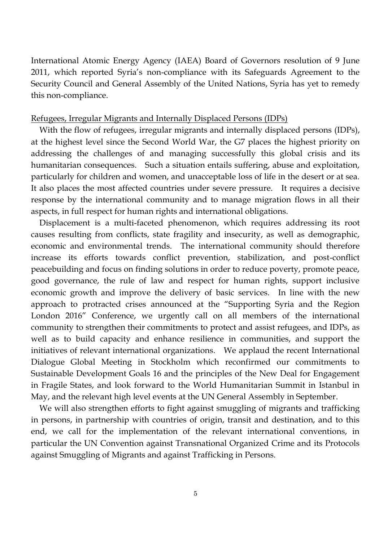International Atomic Energy Agency (IAEA) Board of Governors resolution of 9 June 2011, which reported Syria's non-compliance with its Safeguards Agreement to the Security Council and General Assembly of the United Nations, Syria has yet to remedy this non-compliance.

# Refugees, Irregular Migrants and Internally Displaced Persons (IDPs)

 With the flow of refugees, irregular migrants and internally displaced persons (IDPs), at the highest level since the Second World War, the G7 places the highest priority on addressing the challenges of and managing successfully this global crisis and its humanitarian consequences. Such a situation entails suffering, abuse and exploitation, particularly for children and women, and unacceptable loss of life in the desert or at sea. It also places the most affected countries under severe pressure. It requires a decisive response by the international community and to manage migration flows in all their aspects, in full respect for human rights and international obligations.

Displacement is a multi-faceted phenomenon, which requires addressing its root causes resulting from conflicts, state fragility and insecurity, as well as demographic, economic and environmental trends. The international community should therefore increase its efforts towards conflict prevention, stabilization, and post-conflict peacebuilding and focus on finding solutions in order to reduce poverty, promote peace, good governance, the rule of law and respect for human rights, support inclusive economic growth and improve the delivery of basic services. In line with the new approach to protracted crises announced at the "Supporting Syria and the Region London 2016" Conference, we urgently call on all members of the international community to strengthen their commitments to protect and assist refugees, and IDPs, as well as to build capacity and enhance resilience in communities, and support the initiatives of relevant international organizations. We applaud the recent International Dialogue Global Meeting in Stockholm which reconfirmed our commitments to Sustainable Development Goals 16 and the principles of the New Deal for Engagement in Fragile States, and look forward to the World Humanitarian Summit in Istanbul in May, and the relevant high level events at the UN General Assembly in September.

 We will also strengthen efforts to fight against smuggling of migrants and trafficking in persons, in partnership with countries of origin, transit and destination, and to this end, we call for the implementation of the relevant international conventions, in particular the UN Convention against Transnational Organized Crime and its Protocols against Smuggling of Migrants and against Trafficking in Persons.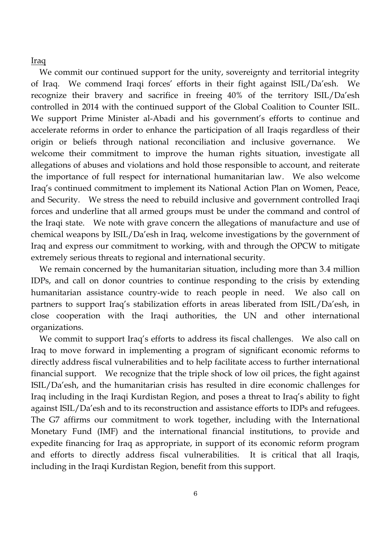# Iraq

 We commit our continued support for the unity, sovereignty and territorial integrity of Iraq. We commend Iraqi forces' efforts in their fight against ISIL/Da'esh. We recognize their bravery and sacrifice in freeing 40% of the territory ISIL/Da'esh controlled in 2014 with the continued support of the Global Coalition to Counter ISIL. We support Prime Minister al-Abadi and his government's efforts to continue and accelerate reforms in order to enhance the participation of all Iraqis regardless of their origin or beliefs through national reconciliation and inclusive governance. We welcome their commitment to improve the human rights situation, investigate all allegations of abuses and violations and hold those responsible to account, and reiterate the importance of full respect for international humanitarian law. We also welcome Iraq's continued commitment to implement its National Action Plan on Women, Peace, and Security. We stress the need to rebuild inclusive and government controlled Iraqi forces and underline that all armed groups must be under the command and control of the Iraqi state. We note with grave concern the allegations of manufacture and use of chemical weapons by ISIL/Da'esh in Iraq, welcome investigations by the government of Iraq and express our commitment to working, with and through the OPCW to mitigate extremely serious threats to regional and international security.

 We remain concerned by the humanitarian situation, including more than 3.4 million IDPs, and call on donor countries to continue responding to the crisis by extending humanitarian assistance country-wide to reach people in need. We also call on partners to support Iraq's stabilization efforts in areas liberated from ISIL/Da'esh, in close cooperation with the Iraqi authorities, the UN and other international organizations.

We commit to support Iraq's efforts to address its fiscal challenges. We also call on Iraq to move forward in implementing a program of significant economic reforms to directly address fiscal vulnerabilities and to help facilitate access to further international financial support. We recognize that the triple shock of low oil prices, the fight against ISIL/Da'esh, and the humanitarian crisis has resulted in dire economic challenges for Iraq including in the Iraqi Kurdistan Region, and poses a threat to Iraq's ability to fight against ISIL/Da'esh and to its reconstruction and assistance efforts to IDPs and refugees. The G7 affirms our commitment to work together, including with the International Monetary Fund (IMF) and the international financial institutions, to provide and expedite financing for Iraq as appropriate, in support of its economic reform program and efforts to directly address fiscal vulnerabilities. It is critical that all Iraqis, including in the Iraqi Kurdistan Region, benefit from this support.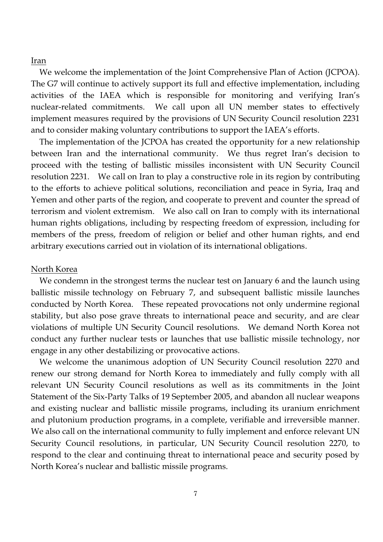### Iran

We welcome the implementation of the Joint Comprehensive Plan of Action (JCPOA). The G7 will continue to actively support its full and effective implementation, including activities of the IAEA which is responsible for monitoring and verifying Iran's nuclear-related commitments. We call upon all UN member states to effectively implement measures required by the provisions of UN Security Council resolution 2231 and to consider making voluntary contributions to support the IAEA's efforts.

 The implementation of the JCPOA has created the opportunity for a new relationship between Iran and the international community. We thus regret Iran's decision to proceed with the testing of ballistic missiles inconsistent with UN Security Council resolution 2231. We call on Iran to play a constructive role in its region by contributing to the efforts to achieve political solutions, reconciliation and peace in Syria, Iraq and Yemen and other parts of the region, and cooperate to prevent and counter the spread of terrorism and violent extremism. We also call on Iran to comply with its international human rights obligations, including by respecting freedom of expression, including for members of the press, freedom of religion or belief and other human rights, and end arbitrary executions carried out in violation of its international obligations.

#### North Korea

 We condemn in the strongest terms the nuclear test on January 6 and the launch using ballistic missile technology on February 7, and subsequent ballistic missile launches conducted by North Korea. These repeated provocations not only undermine regional stability, but also pose grave threats to international peace and security, and are clear violations of multiple UN Security Council resolutions. We demand North Korea not conduct any further nuclear tests or launches that use ballistic missile technology, nor engage in any other destabilizing or provocative actions.

 We welcome the unanimous adoption of UN Security Council resolution 2270 and renew our strong demand for North Korea to immediately and fully comply with all relevant UN Security Council resolutions as well as its commitments in the Joint Statement of the Six-Party Talks of 19 September 2005, and abandon all nuclear weapons and existing nuclear and ballistic missile programs, including its uranium enrichment and plutonium production programs, in a complete, verifiable and irreversible manner. We also call on the international community to fully implement and enforce relevant UN Security Council resolutions, in particular, UN Security Council resolution 2270, to respond to the clear and continuing threat to international peace and security posed by North Korea's nuclear and ballistic missile programs.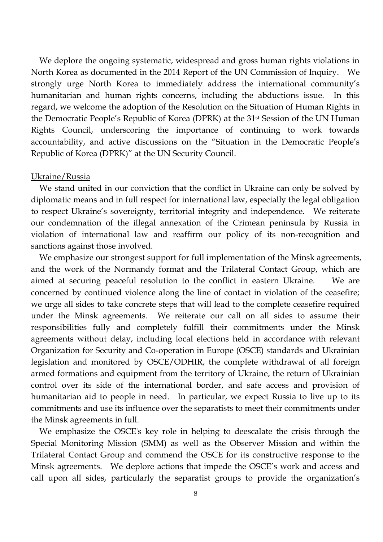We deplore the ongoing systematic, widespread and gross human rights violations in North Korea as documented in the 2014 Report of the UN Commission of Inquiry. We strongly urge North Korea to immediately address the international community's humanitarian and human rights concerns, including the abductions issue. In this regard, we welcome the adoption of the Resolution on the Situation of Human Rights in the Democratic People's Republic of Korea (DPRK) at the 31st Session of the UN Human Rights Council, underscoring the importance of continuing to work towards accountability, and active discussions on the "Situation in the Democratic People's Republic of Korea (DPRK)" at the UN Security Council.

# Ukraine/Russia

We stand united in our conviction that the conflict in Ukraine can only be solved by diplomatic means and in full respect for international law, especially the legal obligation to respect Ukraine's sovereignty, territorial integrity and independence. We reiterate our condemnation of the illegal annexation of the Crimean peninsula by Russia in violation of international law and reaffirm our policy of its non-recognition and sanctions against those involved.

 We emphasize our strongest support for full implementation of the Minsk agreements, and the work of the Normandy format and the Trilateral Contact Group, which are aimed at securing peaceful resolution to the conflict in eastern Ukraine. We are concerned by continued violence along the line of contact in violation of the ceasefire; we urge all sides to take concrete steps that will lead to the complete ceasefire required under the Minsk agreements. We reiterate our call on all sides to assume their responsibilities fully and completely fulfill their commitments under the Minsk agreements without delay, including local elections held in accordance with relevant Organization for Security and Co-operation in Europe (OSCE) standards and Ukrainian legislation and monitored by OSCE/ODHIR, the complete withdrawal of all foreign armed formations and equipment from the territory of Ukraine, the return of Ukrainian control over its side of the international border, and safe access and provision of humanitarian aid to people in need. In particular, we expect Russia to live up to its commitments and use its influence over the separatists to meet their commitments under the Minsk agreements in full.

 We emphasize the OSCE's key role in helping to deescalate the crisis through the Special Monitoring Mission (SMM) as well as the Observer Mission and within the Trilateral Contact Group and commend the OSCE for its constructive response to the Minsk agreements. We deplore actions that impede the OSCE's work and access and call upon all sides, particularly the separatist groups to provide the organization's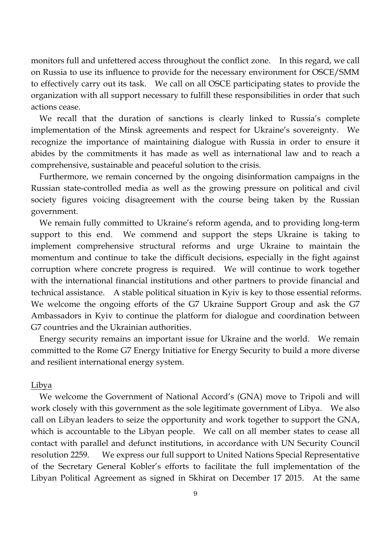monitors full and unfettered access throughout the conflict zone. In this regard, we call on Russia to use its influence to provide for the necessary environment for OSCE/SMM to effectively carry out its task. We call on all OSCE participating states to provide the organization with all support necessary to fulfill these responsibilities in order that such actions cease.

 We recall that the duration of sanctions is clearly linked to Russia's complete implementation of the Minsk agreements and respect for Ukraine's sovereignty. We recognize the importance of maintaining dialogue with Russia in order to ensure it abides by the commitments it has made as well as international law and to reach a comprehensive, sustainable and peaceful solution to the crisis.

 Furthermore, we remain concerned by the ongoing disinformation campaigns in the Russian state-controlled media as well as the growing pressure on political and civil society figures voicing disagreement with the course being taken by the Russian government.

We remain fully committed to Ukraine's reform agenda, and to providing long-term support to this end. We commend and support the steps Ukraine is taking to implement comprehensive structural reforms and urge Ukraine to maintain the momentum and continue to take the difficult decisions, especially in the fight against corruption where concrete progress is required. We will continue to work together with the international financial institutions and other partners to provide financial and technical assistance. A stable political situation in Kyiv is key to those essential reforms. We welcome the ongoing efforts of the G7 Ukraine Support Group and ask the G7 Ambassadors in Kyiv to continue the platform for dialogue and coordination between G7 countries and the Ukrainian authorities.

 Energy security remains an important issue for Ukraine and the world. We remain committed to the Rome G7 Energy Initiative for Energy Security to build a more diverse and resilient international energy system.

# Libya

We welcome the Government of National Accord's (GNA) move to Tripoli and will work closely with this government as the sole legitimate government of Libya. We also call on Libyan leaders to seize the opportunity and work together to support the GNA, which is accountable to the Libyan people. We call on all member states to cease all contact with parallel and defunct institutions, in accordance with UN Security Council resolution 2259. We express our full support to United Nations Special Representative of the Secretary General Kobler's efforts to facilitate the full implementation of the Libyan Political Agreement as signed in Skhirat on December 17 2015. At the same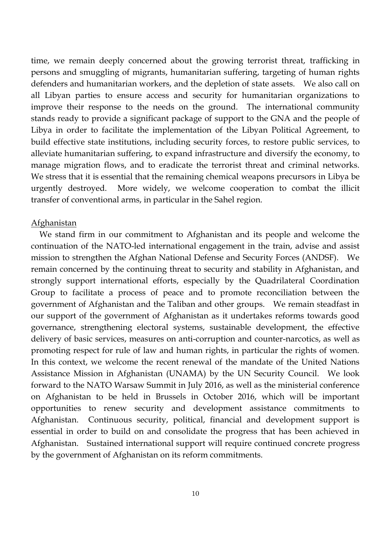time, we remain deeply concerned about the growing terrorist threat, trafficking in persons and smuggling of migrants, humanitarian suffering, targeting of human rights defenders and humanitarian workers, and the depletion of state assets. We also call on all Libyan parties to ensure access and security for humanitarian organizations to improve their response to the needs on the ground. The international community stands ready to provide a significant package of support to the GNA and the people of Libya in order to facilitate the implementation of the Libyan Political Agreement, to build effective state institutions, including security forces, to restore public services, to alleviate humanitarian suffering, to expand infrastructure and diversify the economy, to manage migration flows, and to eradicate the terrorist threat and criminal networks. We stress that it is essential that the remaining chemical weapons precursors in Libya be urgently destroyed. More widely, we welcome cooperation to combat the illicit transfer of conventional arms, in particular in the Sahel region.

# Afghanistan

 We stand firm in our commitment to Afghanistan and its people and welcome the continuation of the NATO-led international engagement in the train, advise and assist mission to strengthen the Afghan National Defense and Security Forces (ANDSF). We remain concerned by the continuing threat to security and stability in Afghanistan, and strongly support international efforts, especially by the Quadrilateral Coordination Group to facilitate a process of peace and to promote reconciliation between the government of Afghanistan and the Taliban and other groups. We remain steadfast in our support of the government of Afghanistan as it undertakes reforms towards good governance, strengthening electoral systems, sustainable development, the effective delivery of basic services, measures on anti-corruption and counter-narcotics, as well as promoting respect for rule of law and human rights, in particular the rights of women. In this context, we welcome the recent renewal of the mandate of the United Nations Assistance Mission in Afghanistan (UNAMA) by the UN Security Council. We look forward to the NATO Warsaw Summit in July 2016, as well as the ministerial conference on Afghanistan to be held in Brussels in October 2016, which will be important opportunities to renew security and development assistance commitments to Afghanistan. Continuous security, political, financial and development support is essential in order to build on and consolidate the progress that has been achieved in Afghanistan. Sustained international support will require continued concrete progress by the government of Afghanistan on its reform commitments.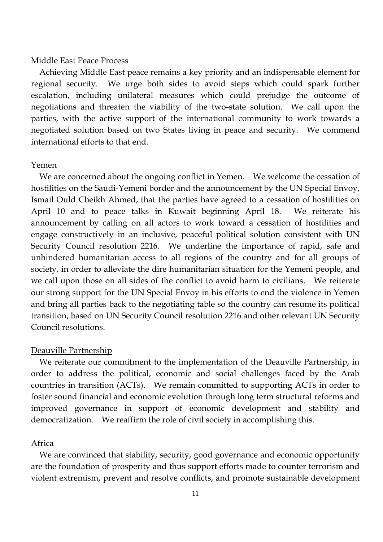### Middle East Peace Process

 Achieving Middle East peace remains a key priority and an indispensable element for regional security. We urge both sides to avoid steps which could spark further escalation, including unilateral measures which could prejudge the outcome of negotiations and threaten the viability of the two-state solution. We call upon the parties, with the active support of the international community to work towards a negotiated solution based on two States living in peace and security. We commend international efforts to that end.

# Yemen

We are concerned about the ongoing conflict in Yemen. We welcome the cessation of hostilities on the Saudi-Yemeni border and the announcement by the UN Special Envoy, Ismail Ould Cheikh Ahmed, that the parties have agreed to a cessation of hostilities on April 10 and to peace talks in Kuwait beginning April 18. We reiterate his announcement by calling on all actors to work toward a cessation of hostilities and engage constructively in an inclusive, peaceful political solution consistent with UN Security Council resolution 2216. We underline the importance of rapid, safe and unhindered humanitarian access to all regions of the country and for all groups of society, in order to alleviate the dire humanitarian situation for the Yemeni people, and we call upon those on all sides of the conflict to avoid harm to civilians. We reiterate our strong support for the UN Special Envoy in his efforts to end the violence in Yemen and bring all parties back to the negotiating table so the country can resume its political transition, based on UN Security Council resolution 2216 and other relevant UN Security Council resolutions.

#### Deauville Partnership

 We reiterate our commitment to the implementation of the Deauville Partnership, in order to address the political, economic and social challenges faced by the Arab countries in transition (ACTs). We remain committed to supporting ACTs in order to foster sound financial and economic evolution through long term structural reforms and improved governance in support of economic development and stability and democratization. We reaffirm the role of civil society in accomplishing this.

#### Africa

 We are convinced that stability, security, good governance and economic opportunity are the foundation of prosperity and thus support efforts made to counter terrorism and violent extremism, prevent and resolve conflicts, and promote sustainable development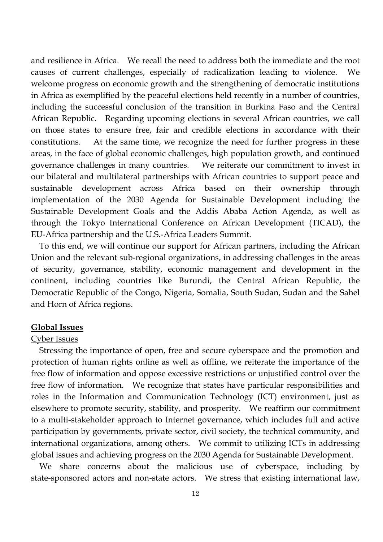and resilience in Africa. We recall the need to address both the immediate and the root causes of current challenges, especially of radicalization leading to violence. We welcome progress on economic growth and the strengthening of democratic institutions in Africa as exemplified by the peaceful elections held recently in a number of countries, including the successful conclusion of the transition in Burkina Faso and the Central African Republic. Regarding upcoming elections in several African countries, we call on those states to ensure free, fair and credible elections in accordance with their constitutions. At the same time, we recognize the need for further progress in these areas, in the face of global economic challenges, high population growth, and continued governance challenges in many countries. We reiterate our commitment to invest in our bilateral and multilateral partnerships with African countries to support peace and sustainable development across Africa based on their ownership through implementation of the 2030 Agenda for Sustainable Development including the Sustainable Development Goals and the Addis Ababa Action Agenda, as well as through the Tokyo International Conference on African Development (TICAD), the EU-Africa partnership and the U.S.-Africa Leaders Summit.

 To this end, we will continue our support for African partners, including the African Union and the relevant sub-regional organizations, in addressing challenges in the areas of security, governance, stability, economic management and development in the continent, including countries like Burundi, the Central African Republic, the Democratic Republic of the Congo, Nigeria, Somalia, South Sudan, Sudan and the Sahel and Horn of Africa regions.

# **Global Issues**

# Cyber Issues

Stressing the importance of open, free and secure cyberspace and the promotion and protection of human rights online as well as offline, we reiterate the importance of the free flow of information and oppose excessive restrictions or unjustified control over the free flow of information. We recognize that states have particular responsibilities and roles in the Information and Communication Technology (ICT) environment, just as elsewhere to promote security, stability, and prosperity. We reaffirm our commitment to a multi-stakeholder approach to Internet governance, which includes full and active participation by governments, private sector, civil society, the technical community, and international organizations, among others. We commit to utilizing ICTs in addressing global issues and achieving progress on the 2030 Agenda for Sustainable Development.

 We share concerns about the malicious use of cyberspace, including by state-sponsored actors and non-state actors. We stress that existing international law,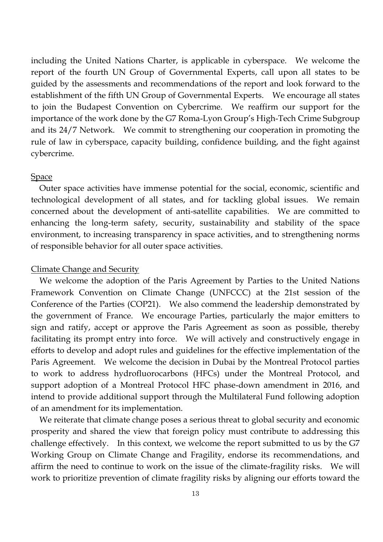including the United Nations Charter, is applicable in cyberspace. We welcome the report of the fourth UN Group of Governmental Experts, call upon all states to be guided by the assessments and recommendations of the report and look forward to the establishment of the fifth UN Group of Governmental Experts. We encourage all states to join the Budapest Convention on Cybercrime. We reaffirm our support for the importance of the work done by the G7 Roma-Lyon Group's High-Tech Crime Subgroup and its 24/7 Network. We commit to strengthening our cooperation in promoting the rule of law in cyberspace, capacity building, confidence building, and the fight against cybercrime.

# **Space**

 Outer space activities have immense potential for the social, economic, scientific and technological development of all states, and for tackling global issues. We remain concerned about the development of anti-satellite capabilities. We are committed to enhancing the long-term safety, security, sustainability and stability of the space environment, to increasing transparency in space activities, and to strengthening norms of responsible behavior for all outer space activities.

# Climate Change and Security

 We welcome the adoption of the Paris Agreement by Parties to the United Nations Framework Convention on Climate Change (UNFCCC) at the 21st session of the Conference of the Parties (COP21). We also commend the leadership demonstrated by the government of France. We encourage Parties, particularly the major emitters to sign and ratify, accept or approve the Paris Agreement as soon as possible, thereby facilitating its prompt entry into force. We will actively and constructively engage in efforts to develop and adopt rules and guidelines for the effective implementation of the Paris Agreement. We welcome the decision in Dubai by the Montreal Protocol parties to work to address hydrofluorocarbons (HFCs) under the Montreal Protocol, and support adoption of a Montreal Protocol HFC phase-down amendment in 2016, and intend to provide additional support through the Multilateral Fund following adoption of an amendment for its implementation.

 We reiterate that climate change poses a serious threat to global security and economic prosperity and shared the view that foreign policy must contribute to addressing this challenge effectively. In this context, we welcome the report submitted to us by the G7 Working Group on Climate Change and Fragility, endorse its recommendations, and affirm the need to continue to work on the issue of the climate-fragility risks. We will work to prioritize prevention of climate fragility risks by aligning our efforts toward the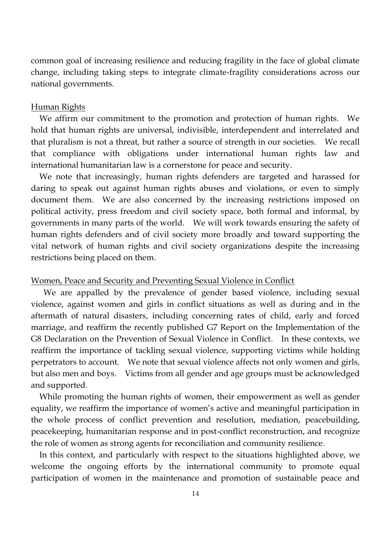common goal of increasing resilience and reducing fragility in the face of global climate change, including taking steps to integrate climate-fragility considerations across our national governments.

# Human Rights

 We affirm our commitment to the promotion and protection of human rights. We hold that human rights are universal, indivisible, interdependent and interrelated and that pluralism is not a threat, but rather a source of strength in our societies. We recall that compliance with obligations under international human rights law and international humanitarian law is a cornerstone for peace and security.

 We note that increasingly, human rights defenders are targeted and harassed for daring to speak out against human rights abuses and violations, or even to simply document them. We are also concerned by the increasing restrictions imposed on political activity, press freedom and civil society space, both formal and informal, by governments in many parts of the world. We will work towards ensuring the safety of human rights defenders and of civil society more broadly and toward supporting the vital network of human rights and civil society organizations despite the increasing restrictions being placed on them.

# Women, Peace and Security and Preventing Sexual Violence in Conflict

 We are appalled by the prevalence of gender based violence, including sexual violence, against women and girls in conflict situations as well as during and in the aftermath of natural disasters, including concerning rates of child, early and forced marriage, and reaffirm the recently published G7 Report on the Implementation of the G8 Declaration on the Prevention of Sexual Violence in Conflict. In these contexts, we reaffirm the importance of tackling sexual violence, supporting victims while holding perpetrators to account. We note that sexual violence affects not only women and girls, but also men and boys. Victims from all gender and age groups must be acknowledged and supported.

 While promoting the human rights of women, their empowerment as well as gender equality, we reaffirm the importance of women's active and meaningful participation in the whole process of conflict prevention and resolution, mediation, peacebuilding, peacekeeping, humanitarian response and in post-conflict reconstruction, and recognize the role of women as strong agents for reconciliation and community resilience.

 In this context, and particularly with respect to the situations highlighted above, we welcome the ongoing efforts by the international community to promote equal participation of women in the maintenance and promotion of sustainable peace and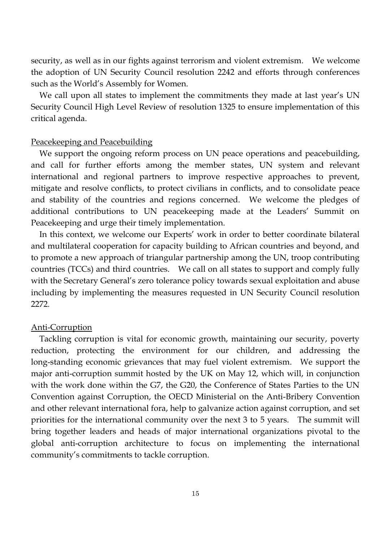security, as well as in our fights against terrorism and violent extremism. We welcome the adoption of UN Security Council resolution 2242 and efforts through conferences such as the World's Assembly for Women.

 We call upon all states to implement the commitments they made at last year's UN Security Council High Level Review of resolution 1325 to ensure implementation of this critical agenda.

# Peacekeeping and Peacebuilding

 We support the ongoing reform process on UN peace operations and peacebuilding, and call for further efforts among the member states, UN system and relevant international and regional partners to improve respective approaches to prevent, mitigate and resolve conflicts, to protect civilians in conflicts, and to consolidate peace and stability of the countries and regions concerned. We welcome the pledges of additional contributions to UN peacekeeping made at the Leaders' Summit on Peacekeeping and urge their timely implementation.

 In this context, we welcome our Experts' work in order to better coordinate bilateral and multilateral cooperation for capacity building to African countries and beyond, and to promote a new approach of triangular partnership among the UN, troop contributing countries (TCCs) and third countries. We call on all states to support and comply fully with the Secretary General's zero tolerance policy towards sexual exploitation and abuse including by implementing the measures requested in UN Security Council resolution 2272.

# Anti-Corruption

 Tackling corruption is vital for economic growth, maintaining our security, poverty reduction, protecting the environment for our children, and addressing the long-standing economic grievances that may fuel violent extremism. We support the major anti-corruption summit hosted by the UK on May 12, which will, in conjunction with the work done within the G7, the G20, the Conference of States Parties to the UN Convention against Corruption, the OECD Ministerial on the Anti-Bribery Convention and other relevant international fora, help to galvanize action against corruption, and set priorities for the international community over the next 3 to 5 years. The summit will bring together leaders and heads of major international organizations pivotal to the global anti-corruption architecture to focus on implementing the international community's commitments to tackle corruption.